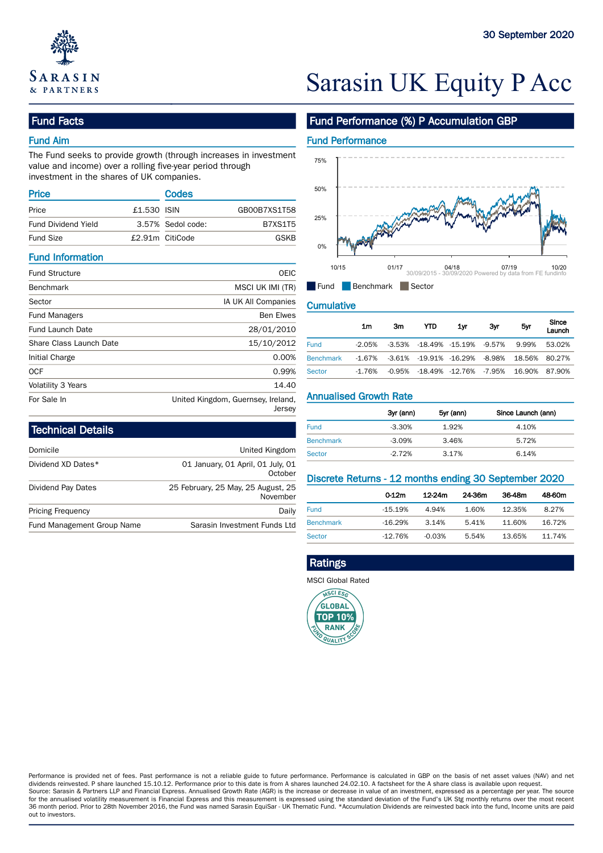

# Sarasin UK Equity P Acc

# Fund Facts

## Fund Aim

The Fund seeks to provide growth (through increases in investment value and income) over a rolling five-year period through investment in the shares of UK companies.

| Codes |                                                     | 50% |                       |
|-------|-----------------------------------------------------|-----|-----------------------|
|       | GB00B7XS1T58                                        |     |                       |
|       | B7XS1T5                                             |     |                       |
|       | GSKB                                                |     |                       |
|       | £1,530 ISIN<br>3.57% Sedol code:<br>£2.91m CitiCode |     | 25%<br>0 <sup>n</sup> |

### Fund Information

| <b>Fund Structure</b>   | <b>OEIC</b>                                  | פו שו                         |                | UIIII    |        | U4/10<br>30/09/2015 - 30/09/2020 Powered by data from FE fundinfo | <u>0779</u> |               | 1 <i>01</i> 20 |
|-------------------------|----------------------------------------------|-------------------------------|----------------|----------|--------|-------------------------------------------------------------------|-------------|---------------|----------------|
| <b>Benchmark</b>        | MSCI UK IMI (TR)                             | $\blacksquare$ Fund           | Benchmark      |          | Sector |                                                                   |             |               |                |
| Sector                  | IA UK All Companies                          | <b>Cumulative</b>             |                |          |        |                                                                   |             |               |                |
| <b>Fund Managers</b>    | <b>Ben Elwes</b>                             |                               |                |          |        |                                                                   |             |               | Since          |
| <b>Fund Launch Date</b> | 28/01/2010                                   |                               | 1 <sub>m</sub> | 3m       | YTD    | 1yr                                                               | 3yr         | 5yr           | Launch         |
| Share Class Launch Date | 15/10/2012                                   | <b>Fund</b>                   | $-2.05%$       | $-3.53%$ |        | -18.49% -15.19%                                                   | -9.57%      | 9.99%         | 53.02%         |
| Initial Charge          | 0.00%                                        | <b>Benchmark</b>              | $-1.67%$       | -3.61%   |        | -19.91% -16.29%                                                   | -8.98%      | 18.56%        | 80.27%         |
| <b>OCF</b>              | 0.99%                                        | <b>Sector</b>                 | $-1.76%$       | -0.95%   |        | -18.49% -12.76% -7.95%                                            |             | 16.90% 87.90% |                |
| Volatility 3 Years      | 14.40                                        |                               |                |          |        |                                                                   |             |               |                |
| For Sale In             | United Kingdom, Guernsey, Ireland,<br>larcav | <b>Annualised Growth Rate</b> |                |          |        |                                                                   |             |               |                |

| Technical Details          |                                                | <b>Fund</b>                                 | $-3.30%$          | 1.92%  |        |    |
|----------------------------|------------------------------------------------|---------------------------------------------|-------------------|--------|--------|----|
|                            |                                                | <b>Benchmark</b>                            | $-3.09%$          | 3.46%  |        |    |
| Domicile                   | United Kingdom                                 | <b>Sector</b>                               | $-2.72%$          | 3.17%  |        |    |
| Dividend XD Dates*         | 01 January, 01 April, 01 July, 01<br>October   | Discrete Returns - 12 months ending 30 Sept |                   |        |        |    |
| Dividend Pay Dates         | 25 February, 25 May, 25 August, 25<br>November |                                             | 0.12 <sub>m</sub> | 12-24m | 24-36m | 36 |
| <b>Pricing Frequency</b>   | Daily                                          | <b>Fund</b>                                 | $-15.19%$         | 4.94%  | 1.60%  | 12 |
| Fund Management Group Name | Sarasin Investment Funds Ltd                   | <b>Benchmark</b>                            | $-16.29%$         | 3.14%  | 5.41%  | 11 |

# Fund Performance (%) P Accumulation GBP

# Fund Performance



|                  | 1m     | 3m | <b>YTD</b>                                  | 1yr | 3yr | 5yr   | Since<br>Launch |
|------------------|--------|----|---------------------------------------------|-----|-----|-------|-----------------|
| <b>Fund</b>      | -2.05% |    | -3.53% -18.49% -15.19% -9.57%               |     |     | 9.99% | 53.02%          |
| <b>Benchmark</b> | -1.67% |    | -3.61% -19.91% -16.29% -8.98% 18.56% 80.27% |     |     |       |                 |
| <b>Sector</b>    | -1.76% |    | -0.95% -18.49% -12.76% -7.95% 16.90% 87.90% |     |     |       |                 |

| Jersey |                  | 3yr (ann) | 5yr (ann) | Since Launch (ann) |
|--------|------------------|-----------|-----------|--------------------|
|        | <b>Fund</b>      | $-3.30%$  | 1.92%     | 4.10%              |
|        | <b>Benchmark</b> | $-3.09%$  | 3.46%     | 5.72%              |
| ngdom  | <b>Sector</b>    | $-2.72%$  | 3.17%     | 6.14%              |

# October Discrete Returns - 12 months ending 30 September 2020

| lugust, 25<br>November |                  | 0.12 <sub>m</sub> | 12-24m   | 24-36m | 36-48m | 48-60m |
|------------------------|------------------|-------------------|----------|--------|--------|--------|
| Daily                  | <b>Fund</b>      | $-15.19%$         | 4.94%    | 1.60%  | 12.35% | 8.27%  |
| Funds Ltd              | <b>Benchmark</b> | $-16.29%$         | 3.14%    | 5.41%  | 11.60% | 16.72% |
|                        | <b>Sector</b>    | $-12.76%$         | $-0.03%$ | 5.54%  | 13.65% | 11.74% |
|                        |                  |                   |          |        |        |        |

# Ratings

MSCI Global Rated



Performance is provided net of fees. Past performance is not a reliable guide to future performance. Performance is calculated in GBP on the basis of net asset values (NAV) and net dividends reinvested. P share launched 15.10.12. Performance prior to this date is from A shares launched 24.02.10. A factsheet for the A share class is available upon request. Source: Sarasin & Partners LLP and Financial Express. Annualised Growth Rate (AGR) is the increase or decrease in value of an investment, expressed as a percentage per year. The source for the annualised volatility measurement is Financial Express and this measurement is expressed using the standard deviation of the Fund's UK Stg monthly returns over the most recent 36 month period. Prior to 28th November 2016, the Fund was named Sarasin EquiSar - UK Thematic Fund. \*Accumulation Dividends are reinvested back into the fund, Income units are paid out to investors.